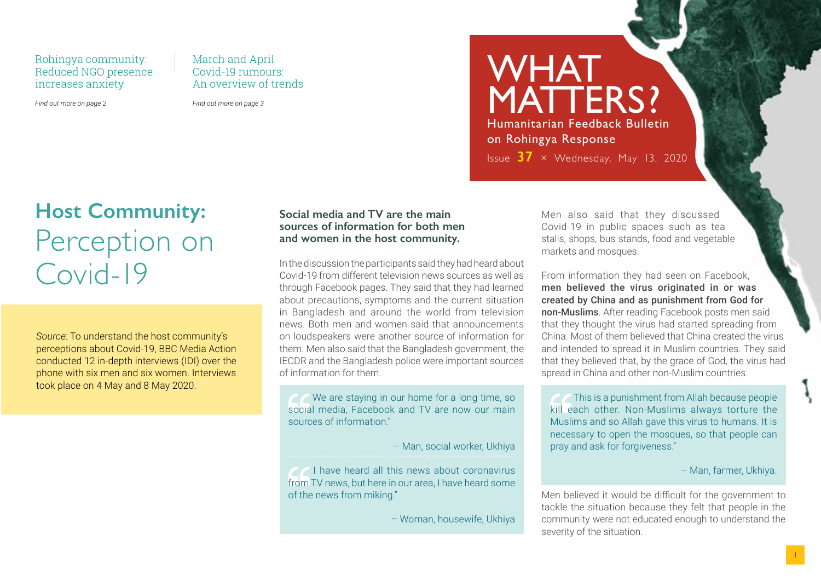Rohingya community: Reduced NGO presence increases anxiety

*Find out more on page 2*

March and April Covid-19 rumours: An overview of trends

*Find out more on page 3*

WHAT MATTERS? Humanitarian Feedback Bulletin on Rohingya Response

Issue **37** × Wednesday, May 13, 2020

## **Host Community:** Perception on Covid-19

*Source*: To understand the host community's perceptions about Covid-19, BBC Media Action conducted 12 in-depth interviews (IDI) over the phone with six men and six women. Interviews took place on 4 May and 8 May 2020.

### **Social media and TV are the main sources of information for both men and women in the host community.**

In the discussion the participants said they had heard about Covid-19 from different television news sources as well as through Facebook pages. They said that they had learned about precautions, symptoms and the current situation in Bangladesh and around the world from television news. Both men and women said that announcements on loudspeakers were another source of information for them. Men also said that the Bangladesh government, the IECDR and the Bangladesh police were important sources of information for them.

We are staying in our home for a long time, so social media, Facebook and TV are now our main sources of information."

– Man, social worker, Ukhiya

*P* I have heard all this news about coronavirus from TV news, but here in our area, I have heard some of the news from miking."

– Woman, housewife, Ukhiya

Men also said that they discussed Covid-19 in public spaces such as tea stalls, shops, bus stands, food and vegetable markets and mosques.

From information they had seen on Facebook, men believed the virus originated in or was created by China and as punishment from God for non-Muslims. After reading Facebook posts men said that they thought the virus had started spreading from China. Most of them believed that China created the virus and intended to spread it in Muslim countries. They said that they believed that, by the grace of God, the virus had spread in China and other non-Muslim countries.

This is a punishment from Allah because people kill each other. Non-Muslims always torture the Muslims and so Allah gave this virus to humans. It is necessary to open the mosques, so that people can pray and ask for forgiveness."

– Man, farmer, Ukhiya.

Men believed it would be difficult for the government to tackle the situation because they felt that people in the community were not educated enough to understand the severity of the situation.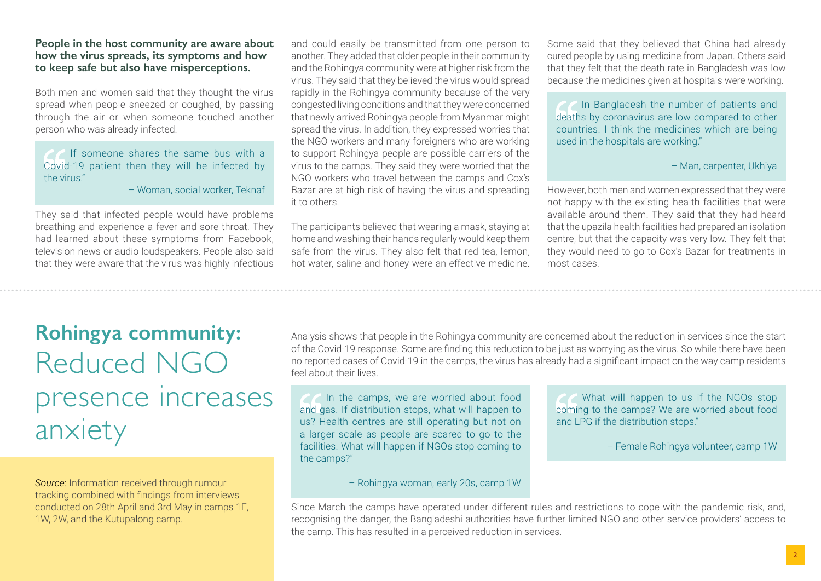#### **People in the host community are aware about how the virus spreads, its symptoms and how to keep safe but also have misperceptions.**

Both men and women said that they thought the virus spread when people sneezed or coughed, by passing through the air or when someone touched another person who was already infected.

If someone shares the same bus with a Covid-19 patient then they will be infected by the virus."

– Woman, social worker, Teknaf

They said that infected people would have problems breathing and experience a fever and sore throat. They had learned about these symptoms from Facebook, television news or audio loudspeakers. People also said that they were aware that the virus was highly infectious and could easily be transmitted from one person to another. They added that older people in their community and the Rohingya community were at higher risk from the virus. They said that they believed the virus would spread rapidly in the Rohingya community because of the very congested living conditions and that they were concerned that newly arrived Rohingya people from Myanmar might spread the virus. In addition, they expressed worries that the NGO workers and many foreigners who are working to support Rohingya people are possible carriers of the virus to the camps. They said they were worried that the NGO workers who travel between the camps and Cox's Bazar are at high risk of having the virus and spreading it to others.

The participants believed that wearing a mask, staying at home and washing their hands regularly would keep them safe from the virus. They also felt that red tea, lemon, hot water, saline and honey were an effective medicine.

Some said that they believed that China had already cured people by using medicine from Japan. Others said that they felt that the death rate in Bangladesh was low because the medicines given at hospitals were working.

 In Bangladesh the number of patients and deaths by coronavirus are low compared to other countries. I think the medicines which are being used in the hospitals are working."

### – Man, carpenter, Ukhiya

However, both men and women expressed that they were not happy with the existing health facilities that were available around them. They said that they had heard that the upazila health facilities had prepared an isolation centre, but that the capacity was very low. They felt that they would need to go to Cox's Bazar for treatments in most cases.

## **Rohingya community:** Reduced NGO presence increases anxiety

*Source*: Information received through rumour tracking combined with findings from interviews conducted on 28th April and 3rd May in camps 1E, 1W, 2W, and the Kutupalong camp.

Analysis shows that people in the Rohingya community are concerned about the reduction in services since the start of the Covid-19 response. Some are finding this reduction to be just as worrying as the virus. So while there have been no reported cases of Covid-19 in the camps, the virus has already had a significant impact on the way camp residents feel about their lives.

In the camps, we are worried about food and gas. If distribution stops, what will happen to us? Health centres are still operating but not on a larger scale as people are scared to go to the facilities. What will happen if NGOs stop coming to the camps?"

What will happen to us if the NGOs stop coming to the camps? We are worried about food and LPG if the distribution stops."

– Female Rohingya volunteer, camp 1W

– Rohingya woman, early 20s, camp 1W

Since March the camps have operated under different rules and restrictions to cope with the pandemic risk, and, recognising the danger, the Bangladeshi authorities have further limited NGO and other service providers' access to the camp. This has resulted in a perceived reduction in services.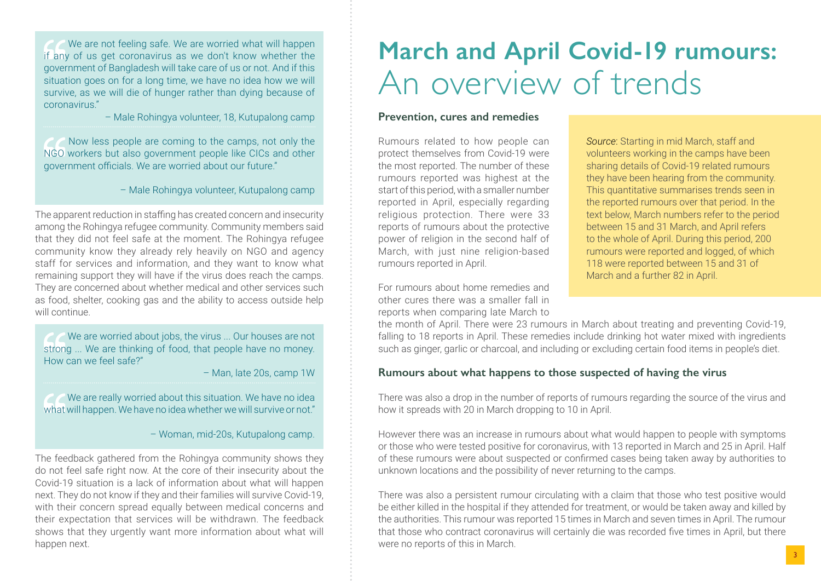We are not feeling safe. We are worried what will happen if any of us get coronavirus as we don't know whether the government of Bangladesh will take care of us or not. And if this situation goes on for a long time, we have no idea how we will survive, as we will die of hunger rather than dying because of coronavirus."

– Male Rohingya volunteer, 18, Kutupalong camp

 Now less people are coming to the camps, not only the NGO workers but also government people like CICs and other government officials. We are worried about our future."

– Male Rohingya volunteer, Kutupalong camp

The apparent reduction in staffing has created concern and insecurity among the Rohingya refugee community. Community members said that they did not feel safe at the moment. The Rohingya refugee community know they already rely heavily on NGO and agency staff for services and information, and they want to know what remaining support they will have if the virus does reach the camps. They are concerned about whether medical and other services such as food, shelter, cooking gas and the ability to access outside help will continue.

We are worried about jobs, the virus ... Our houses are not strong ... We are thinking of food, that people have no money. How can we feel safe?"

– Man, late 20s, camp 1W

 We are really worried about this situation. We have no idea what will happen. We have no idea whether we will survive or not."

– Woman, mid-20s, Kutupalong camp.

The feedback gathered from the Rohingya community shows they do not feel safe right now. At the core of their insecurity about the Covid-19 situation is a lack of information about what will happen next. They do not know if they and their families will survive Covid-19, with their concern spread equally between medical concerns and their expectation that services will be withdrawn. The feedback shows that they urgently want more information about what will happen next.

# **March and April Covid-19 rumours:** An overview of trends

### **Prevention, cures and remedies**

Rumours related to how people can protect themselves from Covid-19 were the most reported. The number of these rumours reported was highest at the start of this period, with a smaller number reported in April, especially regarding religious protection. There were 33 reports of rumours about the protective power of religion in the second half of March, with just nine religion-based rumours reported in April.

For rumours about home remedies and other cures there was a smaller fall in reports when comparing late March to *Source*: Starting in mid March, staff and volunteers working in the camps have been sharing details of Covid-19 related rumours they have been hearing from the community. This quantitative summarises trends seen in the reported rumours over that period. In the text below, March numbers refer to the period between 15 and 31 March, and April refers to the whole of April. During this period, 200 rumours were reported and logged, of which 118 were reported between 15 and 31 of March and a further 82 in April.

the month of April. There were 23 rumours in March about treating and preventing Covid-19, falling to 18 reports in April. These remedies include drinking hot water mixed with ingredients such as ginger, garlic or charcoal, and including or excluding certain food items in people's diet.

### **Rumours about what happens to those suspected of having the virus**

There was also a drop in the number of reports of rumours regarding the source of the virus and how it spreads with 20 in March dropping to 10 in April.

However there was an increase in rumours about what would happen to people with symptoms or those who were tested positive for coronavirus, with 13 reported in March and 25 in April. Half of these rumours were about suspected or confirmed cases being taken away by authorities to unknown locations and the possibility of never returning to the camps.

There was also a persistent rumour circulating with a claim that those who test positive would be either killed in the hospital if they attended for treatment, or would be taken away and killed by the authorities. This rumour was reported 15 times in March and seven times in April. The rumour that those who contract coronavirus will certainly die was recorded five times in April, but there were no reports of this in March.